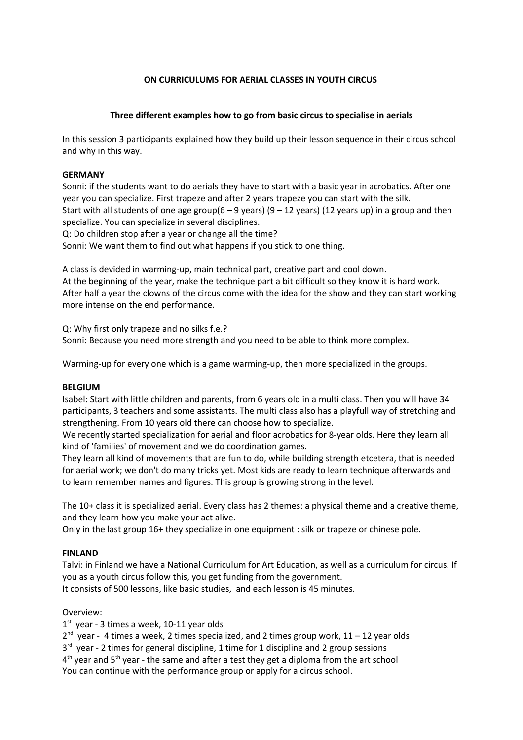## **ON CURRICULUMS FOR AERIAL CLASSES IN YOUTH CIRCUS**

# **Three different examples how to go from basic circus to specialise in aerials**

In this session 3 participants explained how they build up their lesson sequence in their circus school and why in this way.

# **GERMANY**

Sonni: if the students want to do aerials they have to start with a basic year in acrobatics. After one year you can specialize. First trapeze and after 2 years trapeze you can start with the silk. Start with all students of one age group( $6 - 9$  years) ( $9 - 12$  years) (12 years up) in a group and then specialize. You can specialize in several disciplines. Q: Do children stop after a year or change all the time? Sonni: We want them to find out what happens if you stick to one thing.

A class is devided in warming-up, main technical part, creative part and cool down. At the beginning of the year, make the technique part a bit difficult so they know it is hard work. After half a year the clowns of the circus come with the idea for the show and they can start working more intense on the end performance.

Q: Why first only trapeze and no silks f.e.? Sonni: Because you need more strength and you need to be able to think more complex.

Warming-up for every one which is a game warming-up, then more specialized in the groups.

## **BELGIUM**

Isabel: Start with little children and parents, from 6 years old in a multi class. Then you will have 34 participants, 3 teachers and some assistants. The multi class also has a playfull way of stretching and strengthening. From 10 years old there can choose how to specialize.

We recently started specialization for aerial and floor acrobatics for 8-year olds. Here they learn all kind of 'families' of movement and we do coordination games.

They learn all kind of movements that are fun to do, while building strength etcetera, that is needed for aerial work; we don't do many tricks yet. Most kids are ready to learn technique afterwards and to learn remember names and figures. This group is growing strong in the level.

The 10+ class it is specialized aerial. Every class has 2 themes: a physical theme and a creative theme, and they learn how you make your act alive.

Only in the last group 16+ they specialize in one equipment : silk or trapeze or chinese pole.

## **FINLAND**

Talvi: in Finland we have a National Curriculum for Art Education, as well as a curriculum for circus. If you as a youth circus follow this, you get funding from the government. It consists of 500 lessons, like basic studies, and each lesson is 45 minutes.

## Overview:

1<sup>st</sup> year - 3 times a week, 10-11 year olds

2<sup>nd</sup> year - 4 times a week, 2 times specialized, and 2 times group work, 11 – 12 year olds

3<sup>rd</sup> year - 2 times for general discipline, 1 time for 1 discipline and 2 group sessions

 $4<sup>th</sup>$  year and 5<sup>th</sup> year - the same and after a test they get a diploma from the art school

You can continue with the performance group or apply for a circus school.